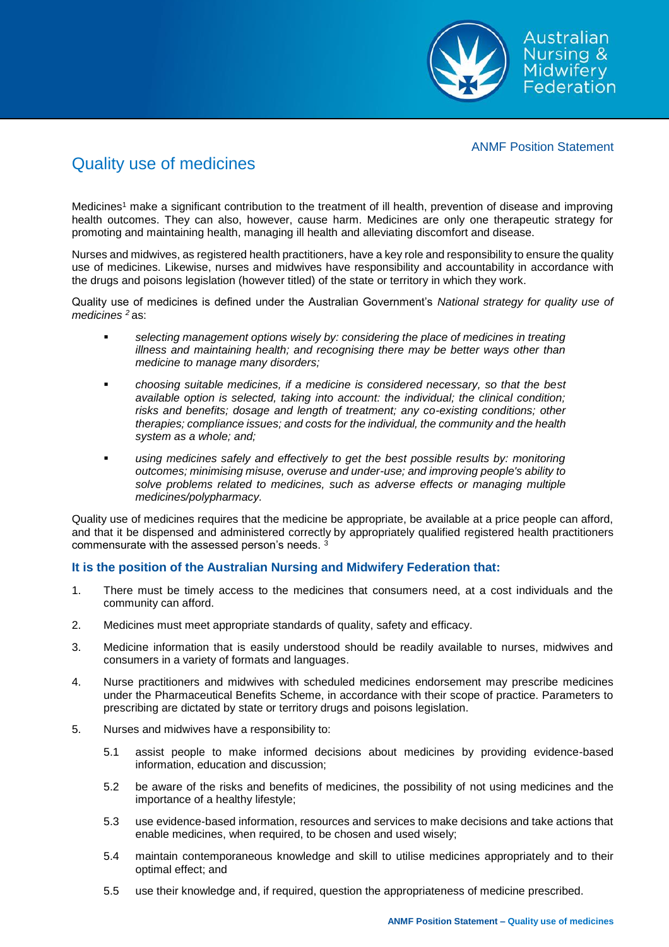

## ANMF Position Statement

## Quality use of medicines

Medicines<sup>1</sup> make a significant contribution to the treatment of ill health, prevention of disease and improving health outcomes. They can also, however, cause harm. Medicines are only one therapeutic strategy for promoting and maintaining health, managing ill health and alleviating discomfort and disease.

Nurses and midwives, as registered health practitioners, have a key role and responsibility to ensure the quality use of medicines. Likewise, nurses and midwives have responsibility and accountability in accordance with the drugs and poisons legislation (however titled) of the state or territory in which they work.

Quality use of medicines is defined under the Australian Government's *National strategy for quality use of medicines <sup>2</sup>*as:

- *selecting management options wisely by: considering the place of medicines in treating illness and maintaining health; and recognising there may be better ways other than medicine to manage many disorders;*
- *choosing suitable medicines, if a medicine is considered necessary, so that the best available option is selected, taking into account: the individual; the clinical condition; risks and benefits; dosage and length of treatment; any co-existing conditions; other therapies; compliance issues; and costs for the individual, the community and the health system as a whole; and;*
- *using medicines safely and effectively to get the best possible results by: monitoring outcomes; minimising misuse, overuse and under-use; and improving people's ability to solve problems related to medicines, such as adverse effects or managing multiple medicines/polypharmacy.*

Quality use of medicines requires that the medicine be appropriate, be available at a price people can afford, and that it be dispensed and administered correctly by appropriately qualified registered health practitioners commensurate with the assessed person's needs. <sup>3</sup>

## **It is the position of the Australian Nursing and Midwifery Federation that:**

- 1. There must be timely access to the medicines that consumers need, at a cost individuals and the community can afford.
- 2. Medicines must meet appropriate standards of quality, safety and efficacy.
- 3. Medicine information that is easily understood should be readily available to nurses, midwives and consumers in a variety of formats and languages.
- 4. Nurse practitioners and midwives with scheduled medicines endorsement may prescribe medicines under the Pharmaceutical Benefits Scheme, in accordance with their scope of practice. Parameters to prescribing are dictated by state or territory drugs and poisons legislation.
- 5. Nurses and midwives have a responsibility to:
	- 5.1 assist people to make informed decisions about medicines by providing evidence-based information, education and discussion;
	- 5.2 be aware of the risks and benefits of medicines, the possibility of not using medicines and the importance of a healthy lifestyle;
	- 5.3 use evidence-based information, resources and services to make decisions and take actions that enable medicines, when required, to be chosen and used wisely;
	- 5.4 maintain contemporaneous knowledge and skill to utilise medicines appropriately and to their optimal effect; and
	- 5.5 use their knowledge and, if required, question the appropriateness of medicine prescribed.